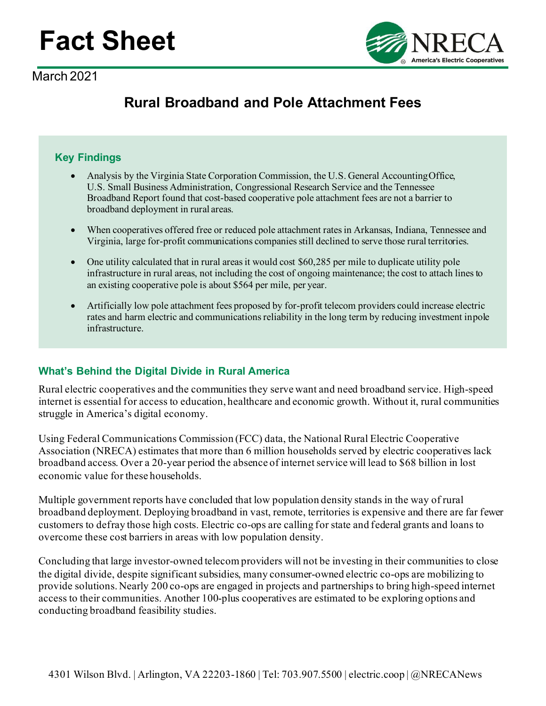# **Fact Sheet**

March 2021



## **Rural Broadband and Pole Attachment Fees**

#### **Key Findings**

- Analysis by the Virginia State Corporation Commission, the U.S. General AccountingOffice, U.S. Small Business Administration, Congressional Research Service and the Tennessee Broadband Report found that cost-based cooperative pole attachment fees are not a barrier to broadband deployment in rural areas.
- When cooperatives offered free or reduced pole attachment rates in Arkansas, Indiana, Tennessee and Virginia, large for-profit communications companies still declined to serve those rural territories.
- One utility calculated that in rural areas it would cost \$60,285 per mile to duplicate utility pole infrastructure in rural areas, not including the cost of ongoing maintenance; the cost to attach lines to an existing cooperative pole is about \$564 per mile, per year.
- Artificially low pole attachment fees proposed by for-profit telecom providers could increase electric rates and harm electric and communications reliability in the long term by reducing investment inpole infrastructure.

### **What's Behind the Digital Divide in Rural America**

Rural electric cooperatives and the communities they serve want and need broadband service. High-speed internet is essential for access to education, healthcare and economic growth. Without it, rural communities struggle in America's digital economy.

Using Federal Communications Commission (FCC) data, the National Rural Electric Cooperative Association (NRECA) estimates that more than 6 million households served by electric cooperatives lack broadband access. Over a 20-year period the absence of internet service will lead to \$68 billion in lost economic value for these households.

Multiple government reports have concluded that low population density stands in the way of rural broadband deployment. Deploying broadband in vast, remote, territories is expensive and there are far fewer customers to defray those high costs. Electric co-ops are calling for state and federal grants and loans to overcome these cost barriers in areas with low population density.

Concluding that large investor-owned telecom providers will not be investing in their communities to close the digital divide, despite significant subsidies, many consumer-owned electric co-ops are mobilizing to provide solutions. Nearly 200 co-ops are engaged in projects and partnerships to bring high-speed internet access to their communities. Another 100-plus cooperatives are estimated to be exploring options and conducting broadband feasibility studies.